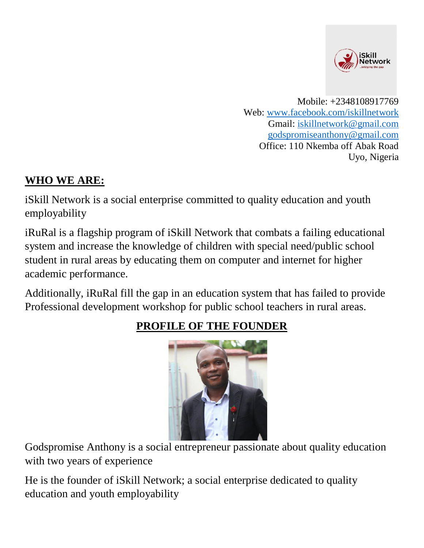

 Mobile: +2348108917769 Web: [www.facebook.com/iskillnetwork](http://www.facebook.com/iskillnetwork) Gmail: [iskillnetwork@gmail.com](mailto:iskillnetwork@gmail.com) [godspromiseanthony@gmail.com](mailto:godspromiseanthony@gmail.com) Office: 110 Nkemba off Abak Road Uyo, Nigeria

#### **WHO WE ARE:**

iSkill Network is a social enterprise committed to quality education and youth employability

iRuRal is a flagship program of iSkill Network that combats a failing educational system and increase the knowledge of children with special need/public school student in rural areas by educating them on computer and internet for higher academic performance.

Additionally, iRuRal fill the gap in an education system that has failed to provide Professional development workshop for public school teachers in rural areas.



### **PROFILE OF THE FOUNDER**

Godspromise Anthony is a social entrepreneur passionate about quality education with two years of experience

He is the founder of iSkill Network; a social enterprise dedicated to quality education and youth employability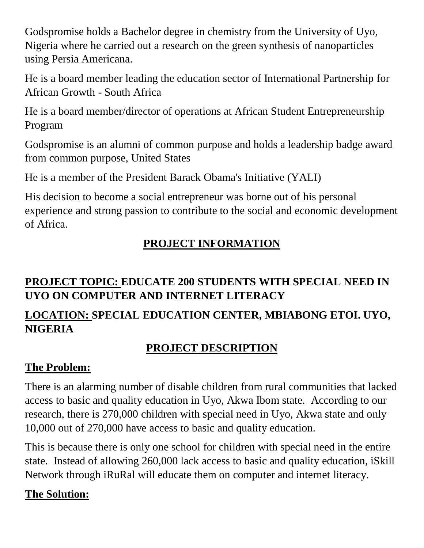Godspromise holds a Bachelor degree in chemistry from the University of Uyo, Nigeria where he carried out a research on the green synthesis of nanoparticles using Persia Americana.

He is a board member leading the education sector of International Partnership for African Growth - South Africa

He is a board member/director of operations at African Student Entrepreneurship Program

Godspromise is an alumni of common purpose and holds a leadership badge award from common purpose, United States

He is a member of the President Barack Obama's Initiative (YALI)

His decision to become a social entrepreneur was borne out of his personal experience and strong passion to contribute to the social and economic development of Africa.

# **PROJECT INFORMATION**

### **PROJECT TOPIC: EDUCATE 200 STUDENTS WITH SPECIAL NEED IN UYO ON COMPUTER AND INTERNET LITERACY**

# **LOCATION: SPECIAL EDUCATION CENTER, MBIABONG ETOI. UYO, NIGERIA**

## **PROJECT DESCRIPTION**

## **The Problem:**

There is an alarming number of disable children from rural communities that lacked access to basic and quality education in Uyo, Akwa Ibom state. According to our research, there is 270,000 children with special need in Uyo, Akwa state and only 10,000 out of 270,000 have access to basic and quality education.

This is because there is only one school for children with special need in the entire state. Instead of allowing 260,000 lack access to basic and quality education, iSkill Network through iRuRal will educate them on computer and internet literacy.

## **The Solution:**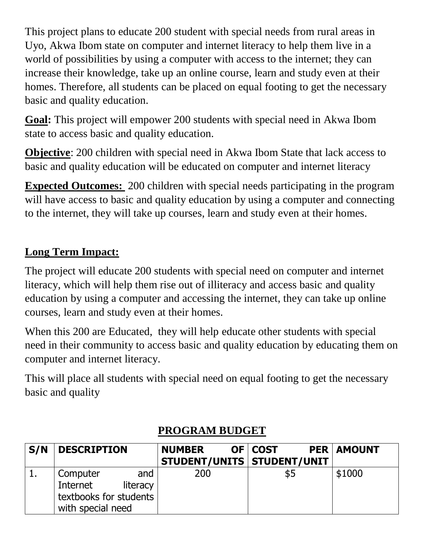This project plans to educate 200 student with special needs from rural areas in Uyo, Akwa Ibom state on computer and internet literacy to help them live in a world of possibilities by using a computer with access to the internet; they can increase their knowledge, take up an online course, learn and study even at their homes. Therefore, all students can be placed on equal footing to get the necessary basic and quality education.

**Goal:** This project will empower 200 students with special need in Akwa Ibom state to access basic and quality education.

**Objective**: 200 children with special need in Akwa Ibom State that lack access to basic and quality education will be educated on computer and internet literacy

**Expected Outcomes:** 200 children with special needs participating in the program will have access to basic and quality education by using a computer and connecting to the internet, they will take up courses, learn and study even at their homes.

### **Long Term Impact:**

The project will educate 200 students with special need on computer and internet literacy, which will help them rise out of illiteracy and access basic and quality education by using a computer and accessing the internet, they can take up online courses, learn and study even at their homes.

When this 200 are Educated, they will help educate other students with special need in their community to access basic and quality education by educating them on computer and internet literacy.

This will place all students with special need on equal footing to get the necessary basic and quality

| S/N | <b>DESCRIPTION</b>                                                                     | <b>NUMBER</b><br>STUDENT/UNITS   STUDENT/UNIT | OF COST | <b>PER   AMOUNT</b> |
|-----|----------------------------------------------------------------------------------------|-----------------------------------------------|---------|---------------------|
|     | Computer<br>and<br>Internet<br>literacy<br>textbooks for students<br>with special need | 200                                           | \$5     | \$1000              |

#### **PROGRAM BUDGET**